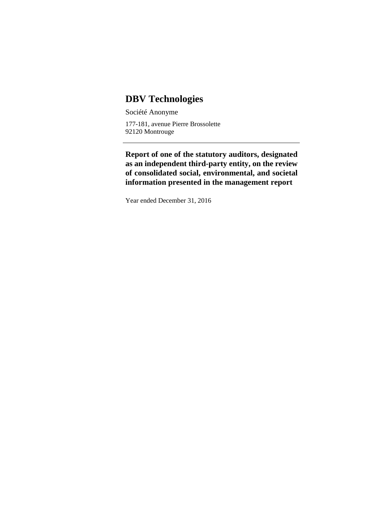# **DBV Technologies**

Société Anonyme 177-181, avenue Pierre Brossolette 92120 Montrouge

**Report of one of the statutory auditors, designated as an independent third-party entity, on the review of consolidated social, environmental, and societal information presented in the management report**

Year ended December 31, 2016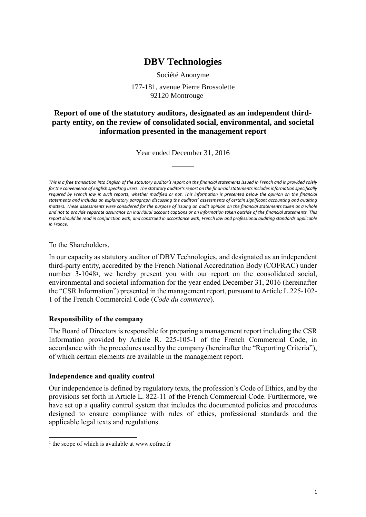# **DBV Technologies**

Société Anonyme 177-181, avenue Pierre Brossolette

92120 Montrouge

# **Report of one of the statutory auditors, designated as an independent thirdparty entity, on the review of consolidated social, environmental, and societal information presented in the management report**

Year ended December 31, 2016

*This is a free translation into English of the statutory auditor's report on the financial statements issued in French and is provided solely for the convenience of English speaking users. The statutory auditor's report on the financial statements includes information specifically required by French law in such reports, whether modified or not. This information is presented below the opinion on the financial statements and includes an explanatory paragraph discussing the auditors' assessments of certain significant accounting and auditing matters. These assessments were considered for the purpose of issuing an audit opinion on the financial statements taken as a whole and not to provide separate assurance on individual account captions or on information taken outside of the financial statements. This report should be read in conjunction with, and construed in accordance with, French law and professional auditing standards applicable in France.*

To the Shareholders,

In our capacity as statutory auditor of DBV Technologies, and designated as an independent third-party entity, accredited by the French National Accreditation Body (COFRAC) under number 3-1048<sup>1</sup> , we hereby present you with our report on the consolidated social, environmental and societal information for the year ended December 31, 2016 (hereinafter the "CSR Information") presented in the management report, pursuant to Article L.225-102- 1 of the French Commercial Code (*Code du commerce*).

#### **Responsibility of the company**

The Board of Directors is responsible for preparing a management report including the CSR Information provided by Article R. 225-105-1 of the French Commercial Code, in accordance with the procedures used by the company (hereinafter the "Reporting Criteria"), of which certain elements are available in the management report.

#### **Independence and quality control**

Our independence is defined by regulatory texts, the profession's Code of Ethics, and by the provisions set forth in Article L. 822-11 of the French Commercial Code. Furthermore, we have set up a quality control system that includes the documented policies and procedures designed to ensure compliance with rules of ethics, professional standards and the applicable legal texts and regulations.

.

<sup>&</sup>lt;sup>1</sup> the scope of which is available at www.cofrac.fr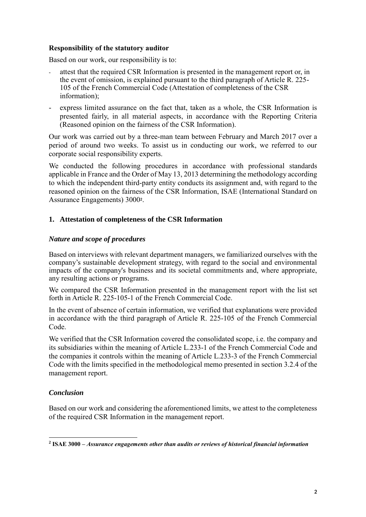#### **Responsibility of the statutory auditor**

Based on our work, our responsibility is to:

- attest that the required CSR Information is presented in the management report or, in the event of omission, is explained pursuant to the third paragraph of Article R. 225- 105 of the French Commercial Code (Attestation of completeness of the CSR information);
- express limited assurance on the fact that, taken as a whole, the CSR Information is presented fairly, in all material aspects, in accordance with the Reporting Criteria (Reasoned opinion on the fairness of the CSR Information).

Our work was carried out by a three-man team between February and March 2017 over a period of around two weeks. To assist us in conducting our work, we referred to our corporate social responsibility experts.

We conducted the following procedures in accordance with professional standards applicable in France and the Order of May 13, 2013 determining the methodology according to which the independent third-party entity conducts its assignment and, with regard to the reasoned opinion on the fairness of the CSR Information, ISAE (International Standard on Assurance Engagements) 3000<sup>2</sup> .

### **1. Attestation of completeness of the CSR Information**

#### *Nature and scope of procedures*

Based on interviews with relevant department managers, we familiarized ourselves with the company's sustainable development strategy, with regard to the social and environmental impacts of the company's business and its societal commitments and, where appropriate, any resulting actions or programs.

We compared the CSR Information presented in the management report with the list set forth in Article R. 225-105-1 of the French Commercial Code.

In the event of absence of certain information, we verified that explanations were provided in accordance with the third paragraph of Article R. 225-105 of the French Commercial Code.

We verified that the CSR Information covered the consolidated scope, i.e. the company and its subsidiaries within the meaning of Article L.233-1 of the French Commercial Code and the companies it controls within the meaning of Article L.233-3 of the French Commercial Code with the limits specified in the methodological memo presented in section 3.2.4 of the management report.

#### *Conclusion*

.

Based on our work and considering the aforementioned limits, we attest to the completeness of the required CSR Information in the management report.

**<sup>2</sup> ISAE 3000 –** *Assurance engagements other than audits or reviews of historical financial information*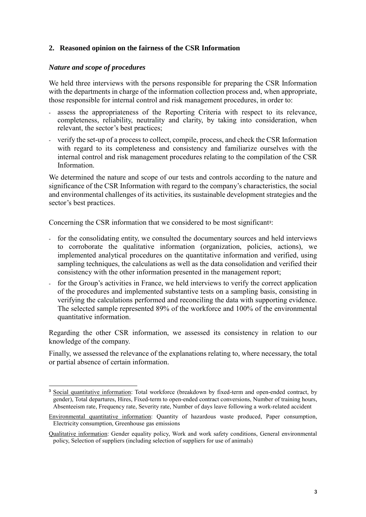#### **2. Reasoned opinion on the fairness of the CSR Information**

#### *Nature and scope of procedures*

.

We held three interviews with the persons responsible for preparing the CSR Information with the departments in charge of the information collection process and, when appropriate, those responsible for internal control and risk management procedures, in order to:

- assess the appropriateness of the Reporting Criteria with respect to its relevance, completeness, reliability, neutrality and clarity, by taking into consideration, when relevant, the sector's best practices;
- verify the set-up of a process to collect, compile, process, and check the CSR Information with regard to its completeness and consistency and familiarize ourselves with the internal control and risk management procedures relating to the compilation of the CSR Information.

We determined the nature and scope of our tests and controls according to the nature and significance of the CSR Information with regard to the company's characteristics, the social and environmental challenges of its activities, its sustainable development strategies and the sector's best practices.

Concerning the CSR information that we considered to be most significant<sup>3</sup>:

- for the consolidating entity, we consulted the documentary sources and held interviews to corroborate the qualitative information (organization, policies, actions), we implemented analytical procedures on the quantitative information and verified, using sampling techniques, the calculations as well as the data consolidation and verified their consistency with the other information presented in the management report;
- for the Group's activities in France, we held interviews to verify the correct application of the procedures and implemented substantive tests on a sampling basis, consisting in verifying the calculations performed and reconciling the data with supporting evidence. The selected sample represented 89% of the workforce and 100% of the environmental quantitative information.

Regarding the other CSR information, we assessed its consistency in relation to our knowledge of the company.

Finally, we assessed the relevance of the explanations relating to, where necessary, the total or partial absence of certain information.

**<sup>3</sup>** Social quantitative information: Total workforce (breakdown by fixed-term and open-ended contract, by gender), Total departures, Hires, Fixed-term to open-ended contract conversions, Number of training hours, Absenteeism rate, Frequency rate, Severity rate, Number of days leave following a work-related accident

Environmental quantitative information: Quantity of hazardous waste produced, Paper consumption, Electricity consumption, Greenhouse gas emissions

Qualitative information: Gender equality policy, Work and work safety conditions, General environmental policy, Selection of suppliers (including selection of suppliers for use of animals)